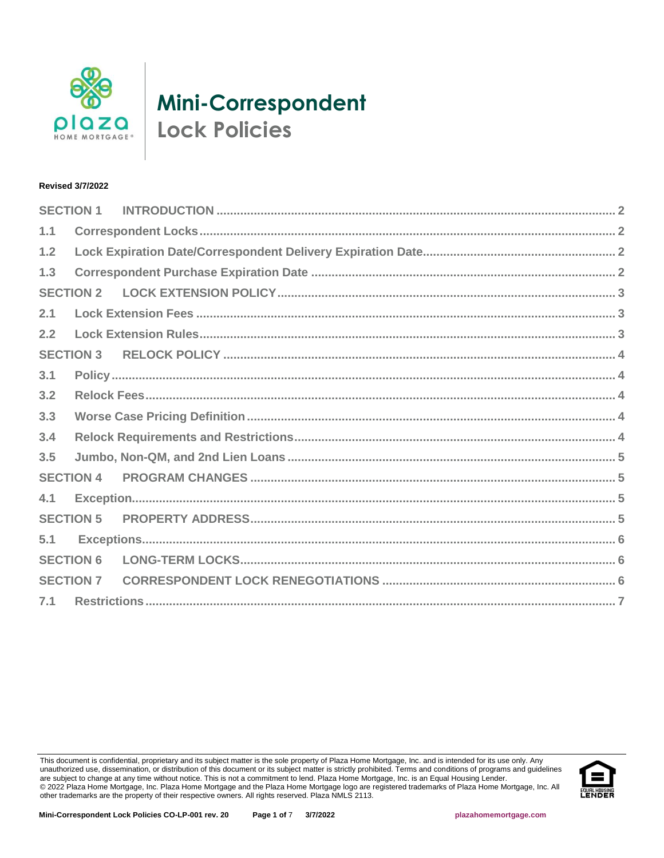

# **Mini-Correspondent Lock Policies**

#### **Revised 3/7/2022**

| <b>SECTION 1</b> |  |  |  |  |  |  |
|------------------|--|--|--|--|--|--|
| 1.1              |  |  |  |  |  |  |
| 1.2              |  |  |  |  |  |  |
| 1.3              |  |  |  |  |  |  |
| <b>SECTION 2</b> |  |  |  |  |  |  |
| 2.1              |  |  |  |  |  |  |
| 2.2              |  |  |  |  |  |  |
| <b>SECTION 3</b> |  |  |  |  |  |  |
| 3.1              |  |  |  |  |  |  |
| 3.2              |  |  |  |  |  |  |
| 3.3              |  |  |  |  |  |  |
| 3.4              |  |  |  |  |  |  |
| 3.5              |  |  |  |  |  |  |
| <b>SECTION 4</b> |  |  |  |  |  |  |
| 4.1              |  |  |  |  |  |  |
| <b>SECTION 5</b> |  |  |  |  |  |  |
| 5.1              |  |  |  |  |  |  |
| <b>SECTION 6</b> |  |  |  |  |  |  |
| <b>SECTION 7</b> |  |  |  |  |  |  |
| 7.1              |  |  |  |  |  |  |

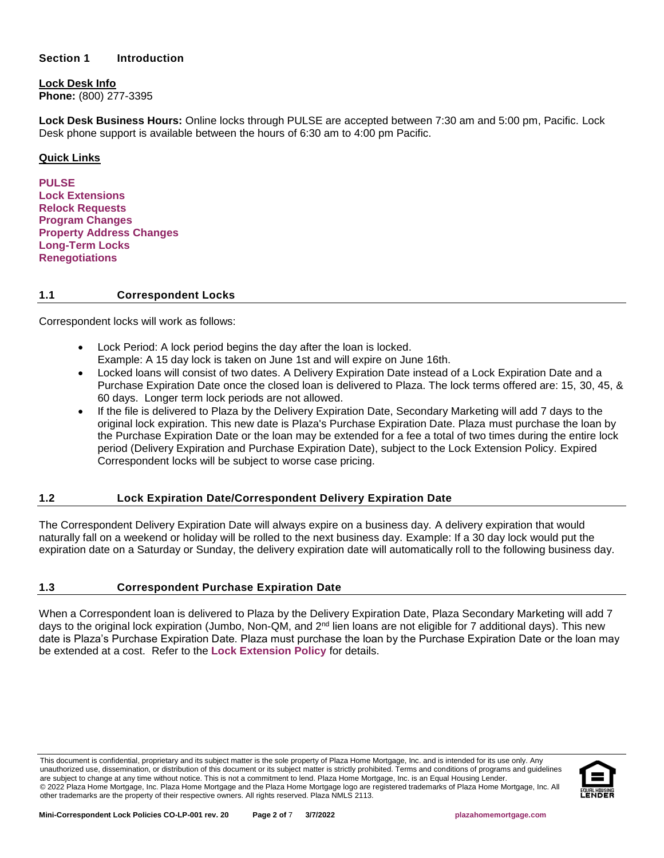#### <span id="page-1-0"></span>**Section 1 Introduction**

#### **Lock Desk Info Phone:** (800) 277-3395

**Lock Desk Business Hours:** Online locks through PULSE are accepted between 7:30 am and 5:00 pm, Pacific. Lock Desk phone support is available between the hours of 6:30 am to 4:00 pm Pacific.

# **Quick Links**

**[PULSE](http://www.plazahomemortgage.com/Login/?ReturnUrl=%2fBrokersOnly%2fdefault.aspx) Lock Extensions Relock Requests Program Changes Property Address Changes Long-Term Locks Renegotiations**

# <span id="page-1-1"></span>**1.1 Correspondent Locks**

Correspondent locks will work as follows:

- Lock Period: A lock period begins the day after the loan is locked. Example: A 15 day lock is taken on June 1st and will expire on June 16th.
- Locked loans will consist of two dates. A Delivery Expiration Date instead of a Lock Expiration Date and a Purchase Expiration Date once the closed loan is delivered to Plaza. The lock terms offered are: 15, 30, 45, & 60 days. Longer term lock periods are not allowed.
- If the file is delivered to Plaza by the Delivery Expiration Date, Secondary Marketing will add 7 days to the original lock expiration. This new date is Plaza's Purchase Expiration Date. Plaza must purchase the loan by the Purchase Expiration Date or the loan may be extended for a fee a total of two times during the entire lock period (Delivery Expiration and Purchase Expiration Date), subject to the Lock Extension Policy. Expired Correspondent locks will be subject to worse case pricing.

# <span id="page-1-2"></span>**1.2 Lock Expiration Date/Correspondent Delivery Expiration Date**

The Correspondent Delivery Expiration Date will always expire on a business day. A delivery expiration that would naturally fall on a weekend or holiday will be rolled to the next business day. Example: If a 30 day lock would put the expiration date on a Saturday or Sunday, the delivery expiration date will automatically roll to the following business day.

# <span id="page-1-3"></span>**1.3 Correspondent Purchase Expiration Date**

When a Correspondent loan is delivered to Plaza by the Delivery Expiration Date, Plaza Secondary Marketing will add 7 days to the original lock expiration (Jumbo, Non-QM, and 2nd lien loans are not eligible for 7 additional days). This new date is Plaza's Purchase Expiration Date. Plaza must purchase the loan by the Purchase Expiration Date or the loan may be extended at a cost. Refer to the **[Lock Extension Policy](#page-2-0)** for details.

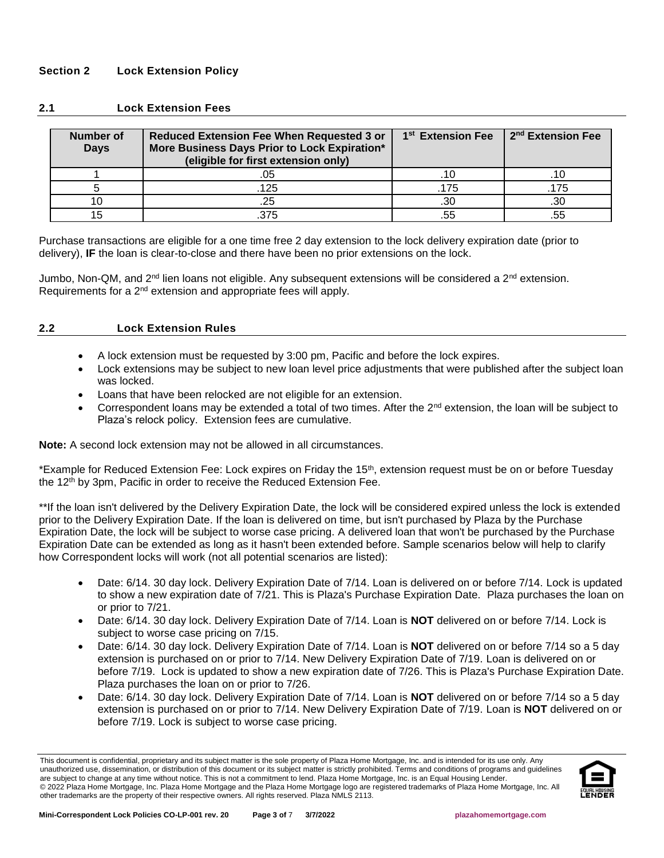# <span id="page-2-0"></span>**Section 2 Lock Extension Policy**

## <span id="page-2-1"></span>**2.1 Lock Extension Fees**

| <b>Number of</b><br><b>Days</b> | Reduced Extension Fee When Requested 3 or<br>More Business Days Prior to Lock Expiration*<br>(eligible for first extension only) | 1 <sup>st</sup> Extension Fee | 2 <sup>nd</sup> Extension Fee |
|---------------------------------|----------------------------------------------------------------------------------------------------------------------------------|-------------------------------|-------------------------------|
|                                 |                                                                                                                                  |                               |                               |
|                                 | .125                                                                                                                             | .175                          | .175                          |
|                                 | .25                                                                                                                              | .30                           | .30                           |
|                                 | 375                                                                                                                              | .55                           |                               |

Purchase transactions are eligible for a one time free 2 day extension to the lock delivery expiration date (prior to delivery), **IF** the loan is clear-to-close and there have been no prior extensions on the lock.

Jumbo, Non-QM, and 2<sup>nd</sup> lien loans not eligible. Any subsequent extensions will be considered a 2<sup>nd</sup> extension. Requirements for a 2<sup>nd</sup> extension and appropriate fees will apply.

#### <span id="page-2-2"></span>**2.2 Lock Extension Rules**

- A lock extension must be requested by 3:00 pm, Pacific and before the lock expires.
- Lock extensions may be subject to new loan level price adjustments that were published after the subject loan was locked.
- Loans that have been relocked are not eligible for an extension.
- Correspondent loans may be extended a total of two times. After the  $2^{nd}$  extension, the loan will be subject to Plaza's relock policy. Extension fees are cumulative.

#### **Note:** A second lock extension may not be allowed in all circumstances.

\*Example for Reduced Extension Fee: Lock expires on Friday the 15<sup>th</sup>, extension request must be on or before Tuesday the 12th by 3pm, Pacific in order to receive the Reduced Extension Fee.

\*\*If the loan isn't delivered by the Delivery Expiration Date, the lock will be considered expired unless the lock is extended prior to the Delivery Expiration Date. If the loan is delivered on time, but isn't purchased by Plaza by the Purchase Expiration Date, the lock will be subject to worse case pricing. A delivered loan that won't be purchased by the Purchase Expiration Date can be extended as long as it hasn't been extended before. Sample scenarios below will help to clarify how Correspondent locks will work (not all potential scenarios are listed):

- Date: 6/14. 30 day lock. Delivery Expiration Date of 7/14. Loan is delivered on or before 7/14. Lock is updated to show a new expiration date of 7/21. This is Plaza's Purchase Expiration Date. Plaza purchases the loan on or prior to 7/21.
- Date: 6/14. 30 day lock. Delivery Expiration Date of 7/14. Loan is **NOT** delivered on or before 7/14. Lock is subject to worse case pricing on 7/15.
- Date: 6/14. 30 day lock. Delivery Expiration Date of 7/14. Loan is **NOT** delivered on or before 7/14 so a 5 day extension is purchased on or prior to 7/14. New Delivery Expiration Date of 7/19. Loan is delivered on or before 7/19. Lock is updated to show a new expiration date of 7/26. This is Plaza's Purchase Expiration Date. Plaza purchases the loan on or prior to 7/26.
- Date: 6/14. 30 day lock. Delivery Expiration Date of 7/14. Loan is **NOT** delivered on or before 7/14 so a 5 day extension is purchased on or prior to 7/14. New Delivery Expiration Date of 7/19. Loan is **NOT** delivered on or before 7/19. Lock is subject to worse case pricing.

This document is confidential, proprietary and its subject matter is the sole property of Plaza Home Mortgage, Inc. and is intended for its use only. Any unauthorized use, dissemination, or distribution of this document or its subject matter is strictly prohibited. Terms and conditions of programs and guidelines are subject to change at any time without notice. This is not a commitment to lend. Plaza Home Mortgage, Inc. is an Equal Housing Lender. © 2022 Plaza Home Mortgage, Inc. Plaza Home Mortgage and the Plaza Home Mortgage logo are registered trademarks of Plaza Home Mortgage, Inc. All other trademarks are the property of their respective owners. All rights reserved. Plaza NMLS 2113.

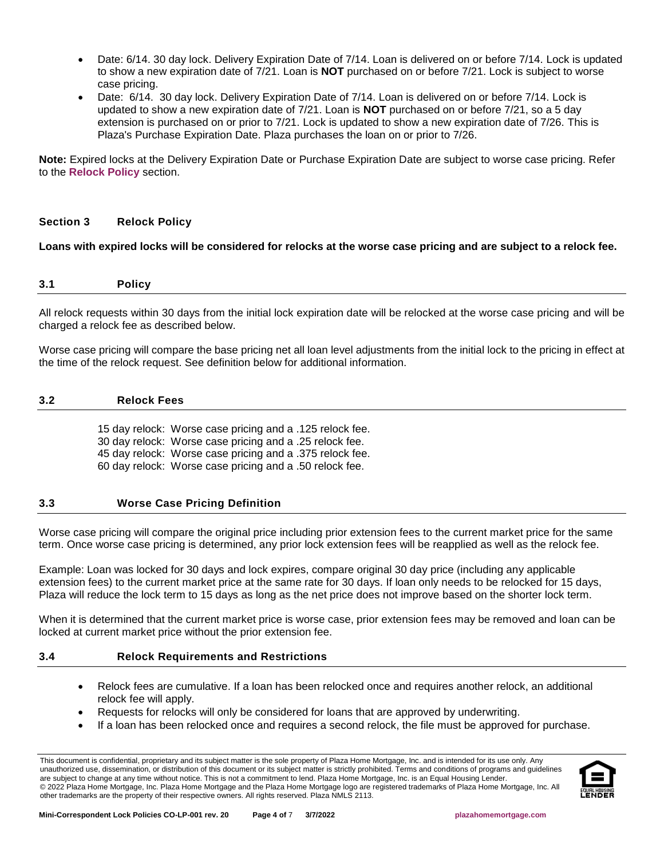- Date: 6/14. 30 day lock. Delivery Expiration Date of 7/14. Loan is delivered on or before 7/14. Lock is updated to show a new expiration date of 7/21. Loan is **NOT** purchased on or before 7/21. Lock is subject to worse case pricing.
- Date: 6/14. 30 day lock. Delivery Expiration Date of 7/14. Loan is delivered on or before 7/14. Lock is updated to show a new expiration date of 7/21. Loan is **NOT** purchased on or before 7/21, so a 5 day extension is purchased on or prior to 7/21. Lock is updated to show a new expiration date of 7/26. This is Plaza's Purchase Expiration Date. Plaza purchases the loan on or prior to 7/26.

**Note:** Expired locks at the Delivery Expiration Date or Purchase Expiration Date are subject to worse case pricing. Refer to the **[Relock Policy](#page-3-5)** section.

## <span id="page-3-5"></span><span id="page-3-0"></span>**Section 3 Relock Policy**

#### **Loans with expired locks will be considered for relocks at the worse case pricing and are subject to a relock fee.**

<span id="page-3-1"></span>

| 3.1 | <b>Policy</b> |  |  |  |  |  |
|-----|---------------|--|--|--|--|--|
|-----|---------------|--|--|--|--|--|

All relock requests within 30 days from the initial lock expiration date will be relocked at the worse case pricing and will be charged a relock fee as described below.

Worse case pricing will compare the base pricing net all loan level adjustments from the initial lock to the pricing in effect at the time of the relock request. See definition below for additional information.

#### <span id="page-3-2"></span>**3.2 Relock Fees**

15 day relock: Worse case pricing and a .125 relock fee. 30 day relock: Worse case pricing and a .25 relock fee. 45 day relock: Worse case pricing and a .375 relock fee. 60 day relock: Worse case pricing and a .50 relock fee.

#### <span id="page-3-3"></span>**3.3 Worse Case Pricing Definition**

Worse case pricing will compare the original price including prior extension fees to the current market price for the same term. Once worse case pricing is determined, any prior lock extension fees will be reapplied as well as the relock fee.

Example: Loan was locked for 30 days and lock expires, compare original 30 day price (including any applicable extension fees) to the current market price at the same rate for 30 days. If loan only needs to be relocked for 15 days, Plaza will reduce the lock term to 15 days as long as the net price does not improve based on the shorter lock term.

When it is determined that the current market price is worse case, prior extension fees may be removed and loan can be locked at current market price without the prior extension fee.

#### <span id="page-3-4"></span>**3.4 Relock Requirements and Restrictions**

- Relock fees are cumulative. If a loan has been relocked once and requires another relock, an additional relock fee will apply.
- Requests for relocks will only be considered for loans that are approved by underwriting.
- If a loan has been relocked once and requires a second relock, the file must be approved for purchase.

This document is confidential, proprietary and its subject matter is the sole property of Plaza Home Mortgage, Inc. and is intended for its use only. Any unauthorized use, dissemination, or distribution of this document or its subject matter is strictly prohibited. Terms and conditions of programs and guidelines are subject to change at any time without notice. This is not a commitment to lend. Plaza Home Mortgage, Inc. is an Equal Housing Lender. © 2022 Plaza Home Mortgage, Inc. Plaza Home Mortgage and the Plaza Home Mortgage logo are registered trademarks of Plaza Home Mortgage, Inc. All other trademarks are the property of their respective owners. All rights reserved. Plaza NMLS 2113.

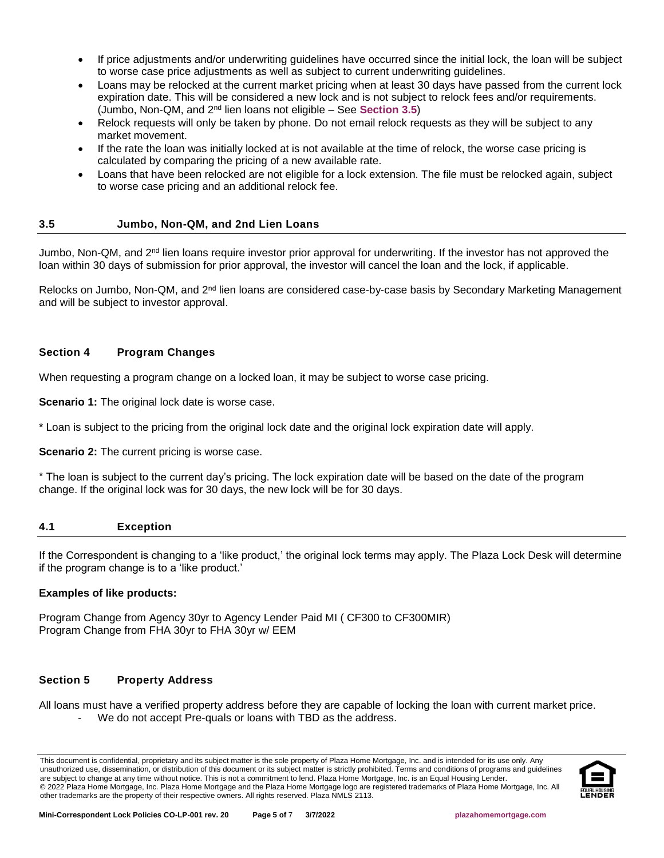- If price adjustments and/or underwriting guidelines have occurred since the initial lock, the loan will be subject to worse case price adjustments as well as subject to current underwriting guidelines.
- Loans may be relocked at the current market pricing when at least 30 days have passed from the current lock expiration date. This will be considered a new lock and is not subject to relock fees and/or requirements. (Jumbo, Non-QM, and 2nd lien loans not eligible – See **[Section 3.5](#page-4-0)**)
- Relock requests will only be taken by phone. Do not email relock requests as they will be subject to any market movement.
- If the rate the loan was initially locked at is not available at the time of relock, the worse case pricing is calculated by comparing the pricing of a new available rate.
- Loans that have been relocked are not eligible for a lock extension. The file must be relocked again, subject to worse case pricing and an additional relock fee.

## <span id="page-4-0"></span>**3.5 Jumbo, Non-QM, and 2nd Lien Loans**

Jumbo, Non-QM, and 2<sup>nd</sup> lien loans require investor prior approval for underwriting. If the investor has not approved the loan within 30 days of submission for prior approval, the investor will cancel the loan and the lock, if applicable.

Relocks on Jumbo, Non-QM, and 2<sup>nd</sup> lien loans are considered case-by-case basis by Secondary Marketing Management and will be subject to investor approval.

## <span id="page-4-1"></span>**Section 4 Program Changes**

When requesting a program change on a locked loan, it may be subject to worse case pricing.

**Scenario 1:** The original lock date is worse case.

\* Loan is subject to the pricing from the original lock date and the original lock expiration date will apply.

**Scenario 2:** The current pricing is worse case.

\* The loan is subject to the current day's pricing. The lock expiration date will be based on the date of the program change. If the original lock was for 30 days, the new lock will be for 30 days.

#### <span id="page-4-2"></span>**4.1 Exception**

If the Correspondent is changing to a 'like product,' the original lock terms may apply. The Plaza Lock Desk will determine if the program change is to a 'like product.'

#### **Examples of like products:**

Program Change from Agency 30yr to Agency Lender Paid MI ( CF300 to CF300MIR) Program Change from FHA 30yr to FHA 30yr w/ EEM

### <span id="page-4-3"></span>**Section 5 Property Address**

All loans must have a verified property address before they are capable of locking the loan with current market price. We do not accept Pre-quals or loans with TBD as the address.

This document is confidential, proprietary and its subject matter is the sole property of Plaza Home Mortgage, Inc. and is intended for its use only. Any unauthorized use, dissemination, or distribution of this document or its subject matter is strictly prohibited. Terms and conditions of programs and guidelines are subject to change at any time without notice. This is not a commitment to lend. Plaza Home Mortgage, Inc. is an Equal Housing Lender. © 2022 Plaza Home Mortgage, Inc. Plaza Home Mortgage and the Plaza Home Mortgage logo are registered trademarks of Plaza Home Mortgage, Inc. All other trademarks are the property of their respective owners. All rights reserved. Plaza NMLS 2113.

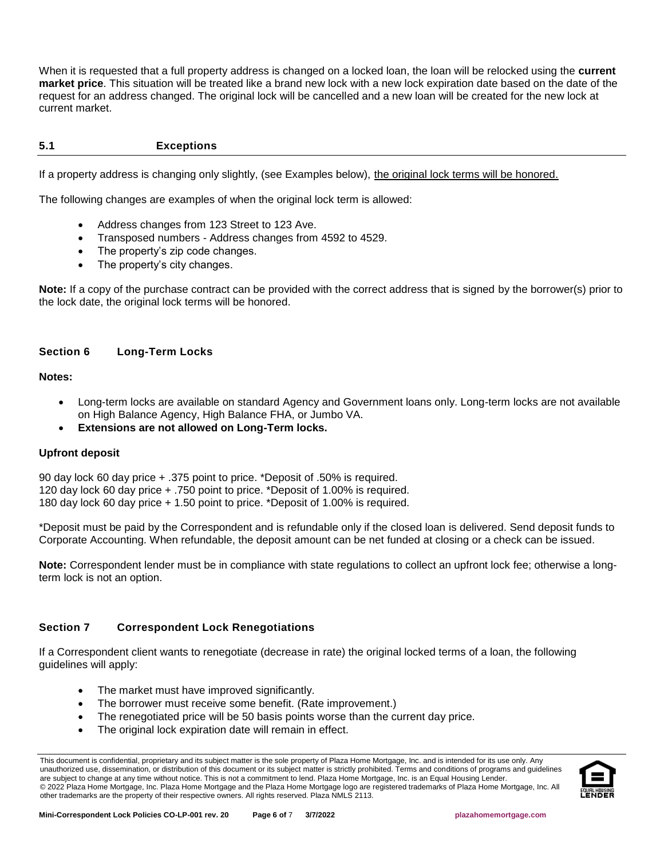When it is requested that a full property address is changed on a locked loan, the loan will be relocked using the **current market price**. This situation will be treated like a brand new lock with a new lock expiration date based on the date of the request for an address changed. The original lock will be cancelled and a new loan will be created for the new lock at current market.

### <span id="page-5-0"></span>**5.1 Exceptions**

If a property address is changing only slightly, (see Examples below), the original lock terms will be honored.

The following changes are examples of when the original lock term is allowed:

- Address changes from 123 Street to 123 Ave.
- Transposed numbers Address changes from 4592 to 4529.
- The property's zip code changes.
- The property's city changes.

**Note:** If a copy of the purchase contract can be provided with the correct address that is signed by the borrower(s) prior to the lock date, the original lock terms will be honored.

# <span id="page-5-1"></span>**Section 6 Long-Term Locks**

#### **Notes:**

- Long-term locks are available on standard Agency and Government loans only. Long-term locks are not available on High Balance Agency, High Balance FHA, or Jumbo VA.
- **Extensions are not allowed on Long-Term locks.**

#### **Upfront deposit**

90 day lock 60 day price + .375 point to price. \*Deposit of .50% is required. 120 day lock 60 day price + .750 point to price. \*Deposit of 1.00% is required. 180 day lock 60 day price + 1.50 point to price. \*Deposit of 1.00% is required.

\*Deposit must be paid by the Correspondent and is refundable only if the closed loan is delivered. Send deposit funds to Corporate Accounting. When refundable, the deposit amount can be net funded at closing or a check can be issued.

**Note:** Correspondent lender must be in compliance with state regulations to collect an upfront lock fee; otherwise a longterm lock is not an option.

#### <span id="page-5-2"></span>**Section 7 Correspondent Lock Renegotiations**

If a Correspondent client wants to renegotiate (decrease in rate) the original locked terms of a loan, the following guidelines will apply:

- The market must have improved significantly.
- The borrower must receive some benefit. (Rate improvement.)
- The renegotiated price will be 50 basis points worse than the current day price.
- The original lock expiration date will remain in effect.

This document is confidential, proprietary and its subject matter is the sole property of Plaza Home Mortgage, Inc. and is intended for its use only. Any unauthorized use, dissemination, or distribution of this document or its subject matter is strictly prohibited. Terms and conditions of programs and guidelines are subject to change at any time without notice. This is not a commitment to lend. Plaza Home Mortgage, Inc. is an Equal Housing Lender. © 2022 Plaza Home Mortgage, Inc. Plaza Home Mortgage and the Plaza Home Mortgage logo are registered trademarks of Plaza Home Mortgage, Inc. All other trademarks are the property of their respective owners. All rights reserved. Plaza NMLS 2113.